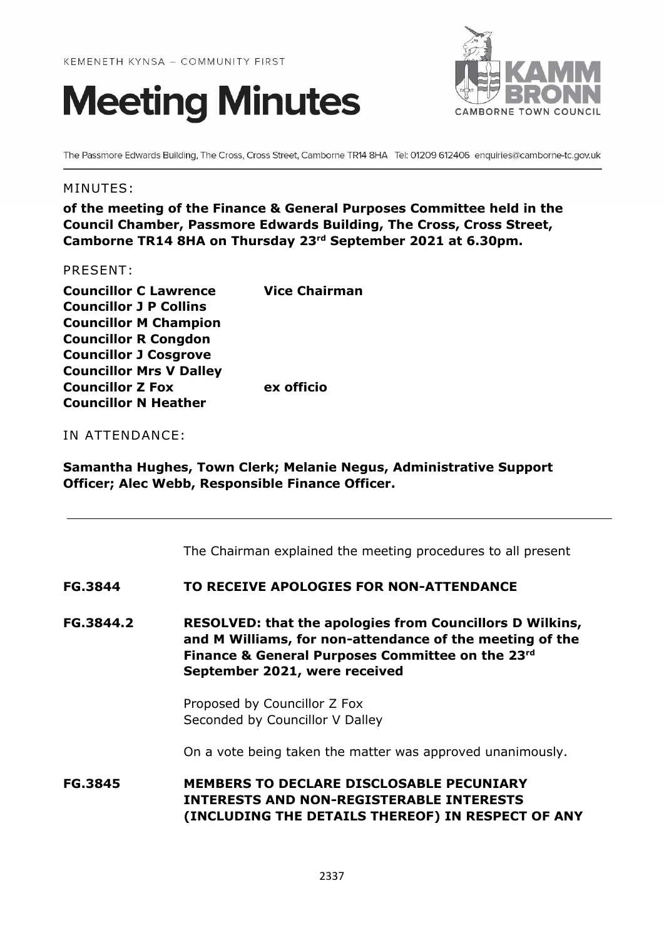



The Passmore Edwards Building, The Cross, Cross Street, Camborne TR14 8HA Tel: 01209 612406 enquiries@camborne-tc.gov.uk

#### MINUTES:

**of the meeting of the Finance & General Purposes Committee held in the Council Chamber, Passmore Edwards Building, The Cross, Cross Street, Camborne TR14 8HA on Thursday 23rd September 2021 at 6.30pm.**

#### PRESENT:

| <b>Councillor C Lawrence</b>   | <b>Vice Chairman</b> |
|--------------------------------|----------------------|
| <b>Councillor J P Collins</b>  |                      |
| <b>Councillor M Champion</b>   |                      |
| <b>Councillor R Congdon</b>    |                      |
| <b>Councillor J Cosgrove</b>   |                      |
| <b>Councillor Mrs V Dalley</b> |                      |
| <b>Councillor Z Fox</b>        | ex officio           |
| <b>Councillor N Heather</b>    |                      |

#### IN ATTENDANCE:

**Samantha Hughes, Town Clerk; Melanie Negus, Administrative Support Officer; Alec Webb, Responsible Finance Officer.**

The Chairman explained the meeting procedures to all present

#### **FG.3844 TO RECEIVE APOLOGIES FOR NON-ATTENDANCE**

**FG.3844.2 RESOLVED: that the apologies from Councillors D Wilkins, and M Williams, for non-attendance of the meeting of the Finance & General Purposes Committee on the 23rd September 2021, were received** 

> Proposed by Councillor Z Fox Seconded by Councillor V Dalley

On a vote being taken the matter was approved unanimously.

**FG.3845 MEMBERS TO DECLARE DISCLOSABLE PECUNIARY INTERESTS AND NON-REGISTERABLE INTERESTS (INCLUDING THE DETAILS THEREOF) IN RESPECT OF ANY**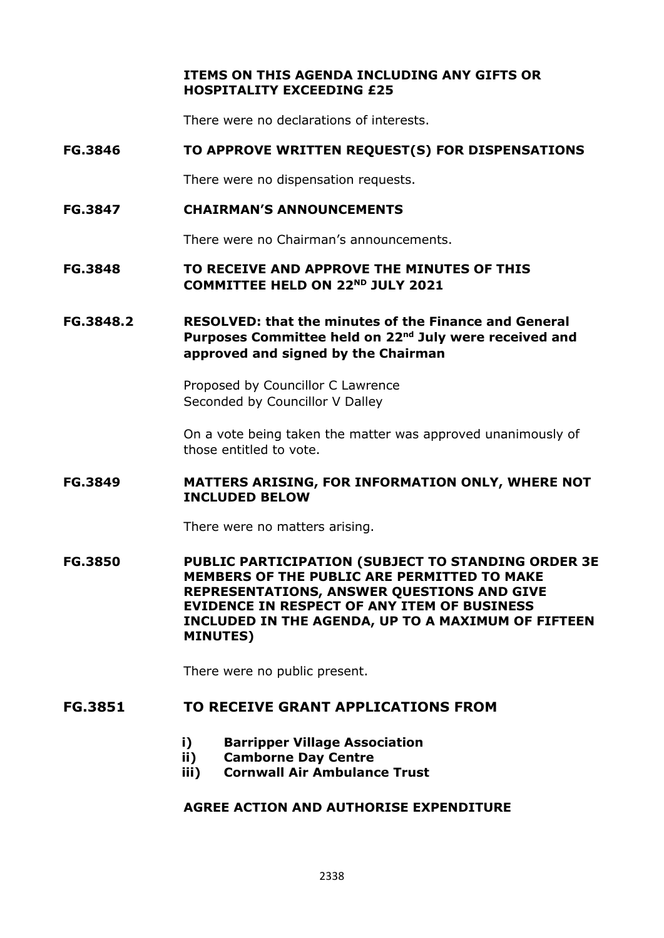**ITEMS ON THIS AGENDA INCLUDING ANY GIFTS OR HOSPITALITY EXCEEDING £25**

There were no declarations of interests.

#### **FG.3846 TO APPROVE WRITTEN REQUEST(S) FOR DISPENSATIONS**

There were no dispensation requests.

#### **FG.3847 CHAIRMAN'S ANNOUNCEMENTS**

There were no Chairman's announcements.

**FG.3848 TO RECEIVE AND APPROVE THE MINUTES OF THIS COMMITTEE HELD ON 22ND JULY 2021**

## **FG.3848.2 RESOLVED: that the minutes of the Finance and General Purposes Committee held on 22nd July were received and approved and signed by the Chairman**

Proposed by Councillor C Lawrence Seconded by Councillor V Dalley

On a vote being taken the matter was approved unanimously of those entitled to vote.

#### **FG.3849 MATTERS ARISING, FOR INFORMATION ONLY, WHERE NOT INCLUDED BELOW**

There were no matters arising.

**FG.3850 PUBLIC PARTICIPATION (SUBJECT TO STANDING ORDER 3E MEMBERS OF THE PUBLIC ARE PERMITTED TO MAKE REPRESENTATIONS, ANSWER QUESTIONS AND GIVE EVIDENCE IN RESPECT OF ANY ITEM OF BUSINESS INCLUDED IN THE AGENDA, UP TO A MAXIMUM OF FIFTEEN MINUTES)**

There were no public present.

## **FG.3851 TO RECEIVE GRANT APPLICATIONS FROM**

- **i) Barripper Village Association**
- **ii) Camborne Day Centre**
- **iii) Cornwall Air Ambulance Trust**

#### **AGREE ACTION AND AUTHORISE EXPENDITURE**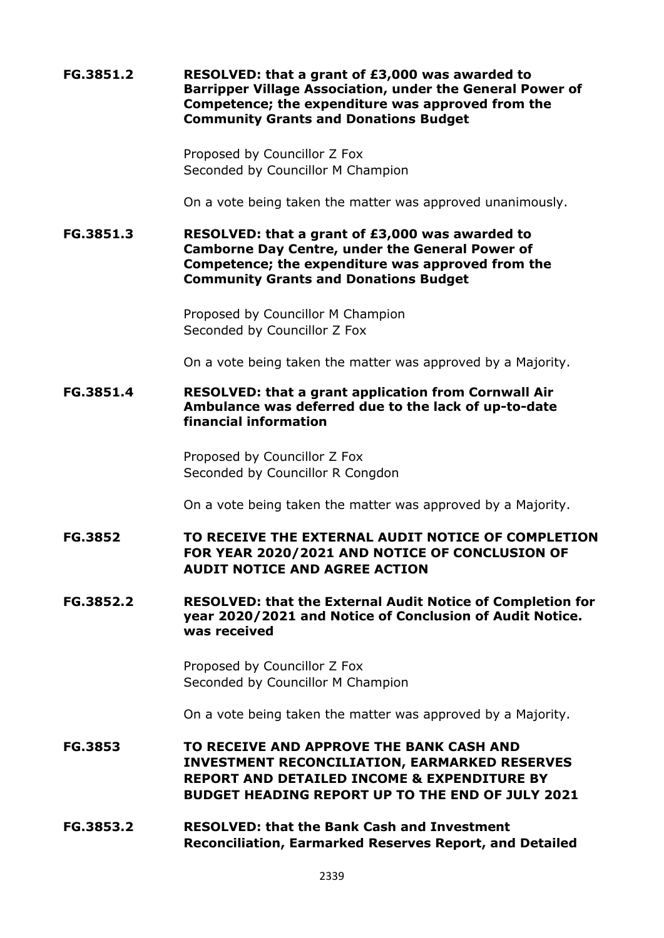**FG.3851.2 RESOLVED: that a grant of £3,000 was awarded to Barripper Village Association, under the General Power of Competence; the expenditure was approved from the Community Grants and Donations Budget**

> Proposed by Councillor Z Fox Seconded by Councillor M Champion

On a vote being taken the matter was approved unanimously.

**FG.3851.3 RESOLVED: that a grant of £3,000 was awarded to Camborne Day Centre, under the General Power of Competence; the expenditure was approved from the Community Grants and Donations Budget**

> Proposed by Councillor M Champion Seconded by Councillor Z Fox

On a vote being taken the matter was approved by a Majority.

**FG.3851.4 RESOLVED: that a grant application from Cornwall Air Ambulance was deferred due to the lack of up-to-date financial information**

> Proposed by Councillor Z Fox Seconded by Councillor R Congdon

On a vote being taken the matter was approved by a Majority.

**FG.3852 TO RECEIVE THE EXTERNAL AUDIT NOTICE OF COMPLETION FOR YEAR 2020/2021 AND NOTICE OF CONCLUSION OF AUDIT NOTICE AND AGREE ACTION**

**FG.3852.2 RESOLVED: that the External Audit Notice of Completion for year 2020/2021 and Notice of Conclusion of Audit Notice. was received**

> Proposed by Councillor Z Fox Seconded by Councillor M Champion

On a vote being taken the matter was approved by a Majority.

- **FG.3853 TO RECEIVE AND APPROVE THE BANK CASH AND INVESTMENT RECONCILIATION, EARMARKED RESERVES REPORT AND DETAILED INCOME & EXPENDITURE BY BUDGET HEADING REPORT UP TO THE END OF JULY 2021**
- **FG.3853.2 RESOLVED: that the Bank Cash and Investment Reconciliation, Earmarked Reserves Report, and Detailed**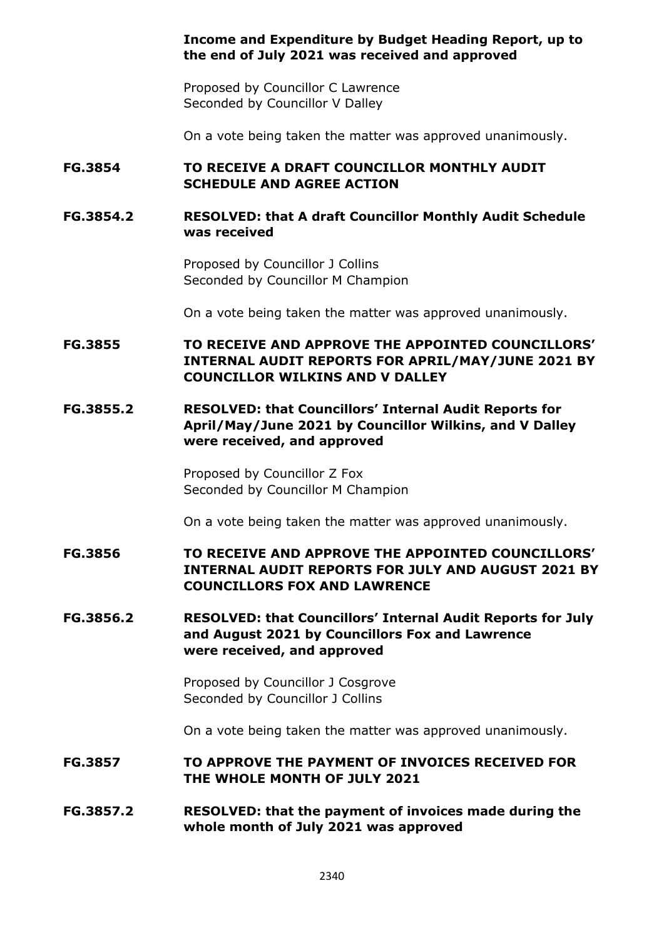### **Income and Expenditure by Budget Heading Report, up to the end of July 2021 was received and approved**

Proposed by Councillor C Lawrence Seconded by Councillor V Dalley

On a vote being taken the matter was approved unanimously.

# **FG.3854 TO RECEIVE A DRAFT COUNCILLOR MONTHLY AUDIT SCHEDULE AND AGREE ACTION**

# **FG.3854.2 RESOLVED: that A draft Councillor Monthly Audit Schedule was received**

Proposed by Councillor J Collins Seconded by Councillor M Champion

On a vote being taken the matter was approved unanimously.

# **FG.3855 TO RECEIVE AND APPROVE THE APPOINTED COUNCILLORS' INTERNAL AUDIT REPORTS FOR APRIL/MAY/JUNE 2021 BY COUNCILLOR WILKINS AND V DALLEY**

## **FG.3855.2 RESOLVED: that Councillors' Internal Audit Reports for April/May/June 2021 by Councillor Wilkins, and V Dalley were received, and approved**

Proposed by Councillor Z Fox Seconded by Councillor M Champion

On a vote being taken the matter was approved unanimously.

# **FG.3856 TO RECEIVE AND APPROVE THE APPOINTED COUNCILLORS' INTERNAL AUDIT REPORTS FOR JULY AND AUGUST 2021 BY COUNCILLORS FOX AND LAWRENCE**

## **FG.3856.2 RESOLVED: that Councillors' Internal Audit Reports for July and August 2021 by Councillors Fox and Lawrence were received, and approved**

Proposed by Councillor J Cosgrove Seconded by Councillor J Collins

On a vote being taken the matter was approved unanimously.

### **FG.3857 TO APPROVE THE PAYMENT OF INVOICES RECEIVED FOR THE WHOLE MONTH OF JULY 2021**

### **FG.3857.2 RESOLVED: that the payment of invoices made during the whole month of July 2021 was approved**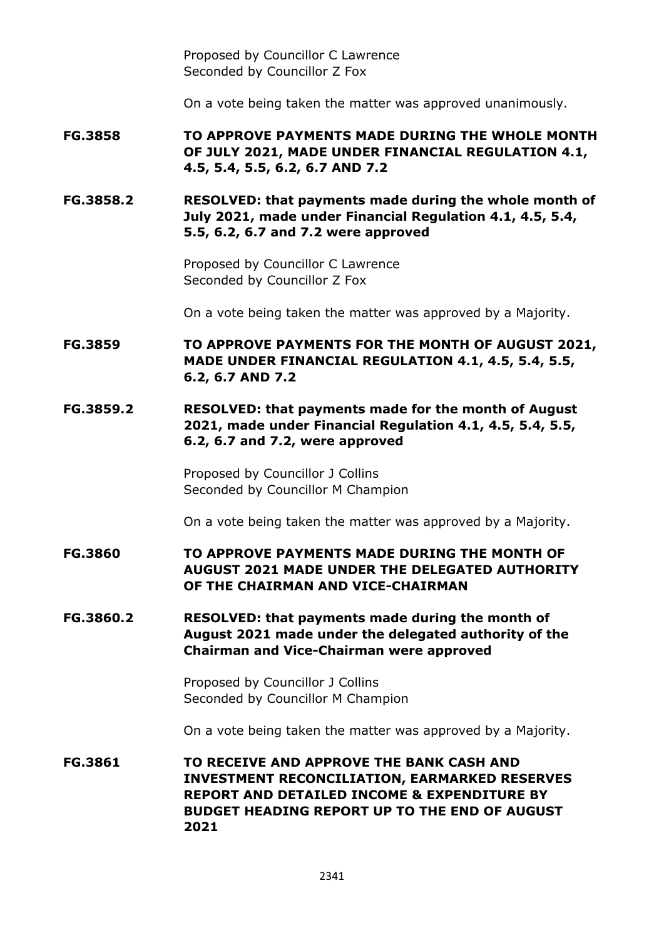Proposed by Councillor C Lawrence Seconded by Councillor Z Fox

On a vote being taken the matter was approved unanimously.

**FG.3858 TO APPROVE PAYMENTS MADE DURING THE WHOLE MONTH OF JULY 2021, MADE UNDER FINANCIAL REGULATION 4.1, 4.5, 5.4, 5.5, 6.2, 6.7 AND 7.2**

**FG.3858.2 RESOLVED: that payments made during the whole month of July 2021, made under Financial Regulation 4.1, 4.5, 5.4, 5.5, 6.2, 6.7 and 7.2 were approved**

> Proposed by Councillor C Lawrence Seconded by Councillor Z Fox

On a vote being taken the matter was approved by a Majority.

**FG.3859 TO APPROVE PAYMENTS FOR THE MONTH OF AUGUST 2021, MADE UNDER FINANCIAL REGULATION 4.1, 4.5, 5.4, 5.5, 6.2, 6.7 AND 7.2**

**FG.3859.2 RESOLVED: that payments made for the month of August 2021, made under Financial Regulation 4.1, 4.5, 5.4, 5.5, 6.2, 6.7 and 7.2, were approved**

> Proposed by Councillor J Collins Seconded by Councillor M Champion

On a vote being taken the matter was approved by a Majority.

**FG.3860 TO APPROVE PAYMENTS MADE DURING THE MONTH OF AUGUST 2021 MADE UNDER THE DELEGATED AUTHORITY OF THE CHAIRMAN AND VICE-CHAIRMAN**

**FG.3860.2 RESOLVED: that payments made during the month of August 2021 made under the delegated authority of the Chairman and Vice-Chairman were approved**

> Proposed by Councillor J Collins Seconded by Councillor M Champion

On a vote being taken the matter was approved by a Majority.

**FG.3861 TO RECEIVE AND APPROVE THE BANK CASH AND INVESTMENT RECONCILIATION, EARMARKED RESERVES REPORT AND DETAILED INCOME & EXPENDITURE BY BUDGET HEADING REPORT UP TO THE END OF AUGUST 2021**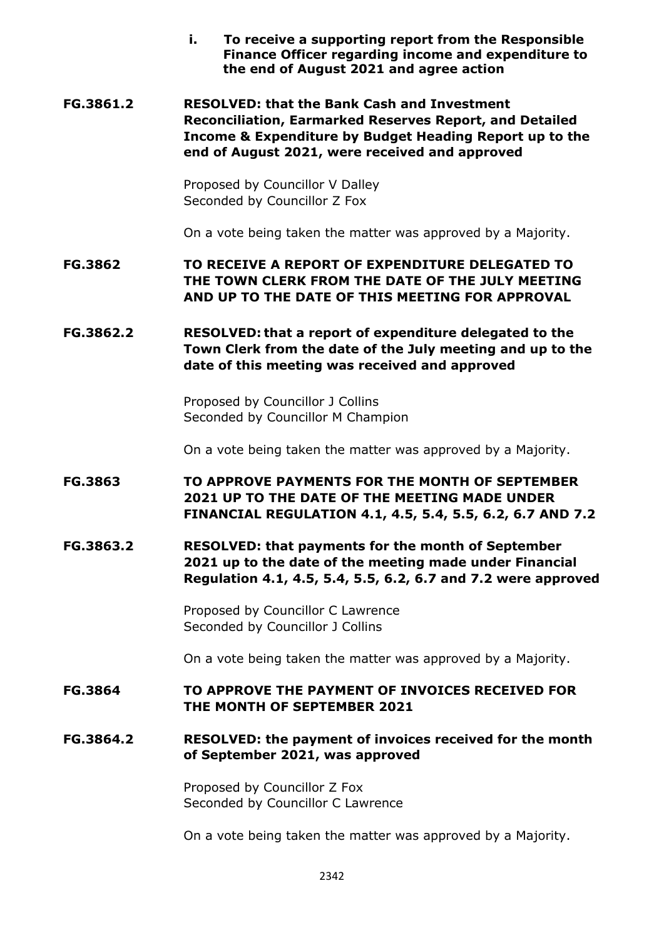**i. To receive a supporting report from the Responsible Finance Officer regarding income and expenditure to the end of August 2021 and agree action**

**FG.3861.2 RESOLVED: that the Bank Cash and Investment Reconciliation, Earmarked Reserves Report, and Detailed Income & Expenditure by Budget Heading Report up to the end of August 2021, were received and approved**

> Proposed by Councillor V Dalley Seconded by Councillor Z Fox

On a vote being taken the matter was approved by a Majority.

**FG.3862 TO RECEIVE A REPORT OF EXPENDITURE DELEGATED TO THE TOWN CLERK FROM THE DATE OF THE JULY MEETING AND UP TO THE DATE OF THIS MEETING FOR APPROVAL** 

**FG.3862.2 RESOLVED: that a report of expenditure delegated to the Town Clerk from the date of the July meeting and up to the date of this meeting was received and approved**

> Proposed by Councillor J Collins Seconded by Councillor M Champion

On a vote being taken the matter was approved by a Majority.

- **FG.3863 TO APPROVE PAYMENTS FOR THE MONTH OF SEPTEMBER 2021 UP TO THE DATE OF THE MEETING MADE UNDER FINANCIAL REGULATION 4.1, 4.5, 5.4, 5.5, 6.2, 6.7 AND 7.2**
- **FG.3863.2 RESOLVED: that payments for the month of September 2021 up to the date of the meeting made under Financial Regulation 4.1, 4.5, 5.4, 5.5, 6.2, 6.7 and 7.2 were approved**

Proposed by Councillor C Lawrence Seconded by Councillor J Collins

On a vote being taken the matter was approved by a Majority.

# **FG.3864 TO APPROVE THE PAYMENT OF INVOICES RECEIVED FOR THE MONTH OF SEPTEMBER 2021**

**FG.3864.2 RESOLVED: the payment of invoices received for the month of September 2021, was approved**

> Proposed by Councillor Z Fox Seconded by Councillor C Lawrence

On a vote being taken the matter was approved by a Majority.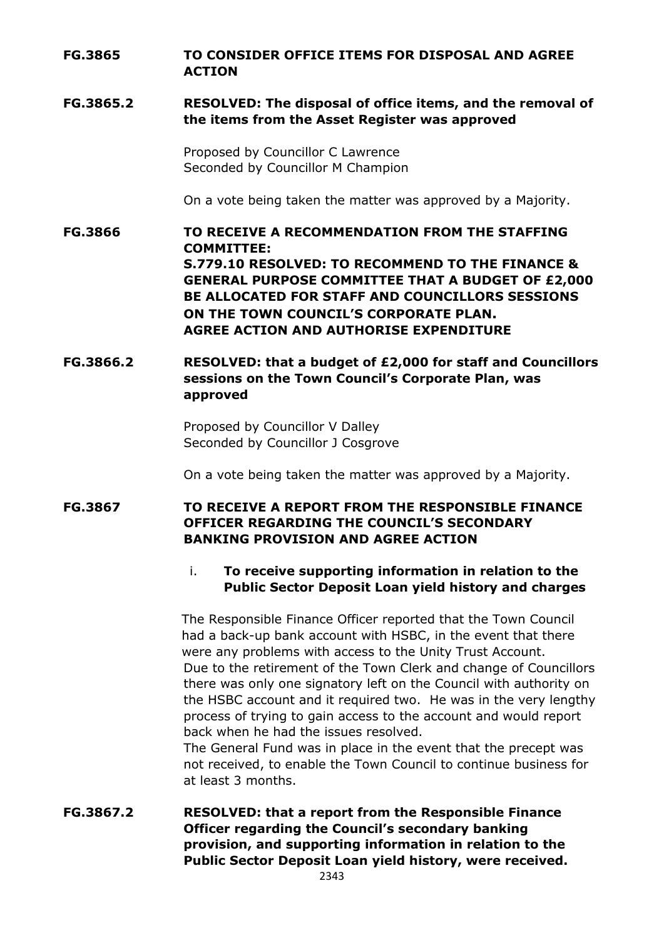## **FG.3865 TO CONSIDER OFFICE ITEMS FOR DISPOSAL AND AGREE ACTION**

### **FG.3865.2 RESOLVED: The disposal of office items, and the removal of the items from the Asset Register was approved**

Proposed by Councillor C Lawrence Seconded by Councillor M Champion

On a vote being taken the matter was approved by a Majority.

**FG.3866 TO RECEIVE A RECOMMENDATION FROM THE STAFFING COMMITTEE: S.779.10 RESOLVED: TO RECOMMEND TO THE FINANCE & GENERAL PURPOSE COMMITTEE THAT A BUDGET OF £2,000 BE ALLOCATED FOR STAFF AND COUNCILLORS SESSIONS ON THE TOWN COUNCIL'S CORPORATE PLAN. AGREE ACTION AND AUTHORISE EXPENDITURE**

# **FG.3866.2 RESOLVED: that a budget of £2,000 for staff and Councillors sessions on the Town Council's Corporate Plan, was approved**

Proposed by Councillor V Dalley Seconded by Councillor J Cosgrove

On a vote being taken the matter was approved by a Majority.

# **FG.3867 TO RECEIVE A REPORT FROM THE RESPONSIBLE FINANCE OFFICER REGARDING THE COUNCIL'S SECONDARY BANKING PROVISION AND AGREE ACTION**

# i. **To receive supporting information in relation to the Public Sector Deposit Loan yield history and charges**

The Responsible Finance Officer reported that the Town Council had a back-up bank account with HSBC, in the event that there were any problems with access to the Unity Trust Account. Due to the retirement of the Town Clerk and change of Councillors there was only one signatory left on the Council with authority on the HSBC account and it required two. He was in the very lengthy process of trying to gain access to the account and would report back when he had the issues resolved.

The General Fund was in place in the event that the precept was not received, to enable the Town Council to continue business for at least 3 months.

**FG.3867.2 RESOLVED: that a report from the Responsible Finance Officer regarding the Council's secondary banking provision, and supporting information in relation to the Public Sector Deposit Loan yield history, were received.**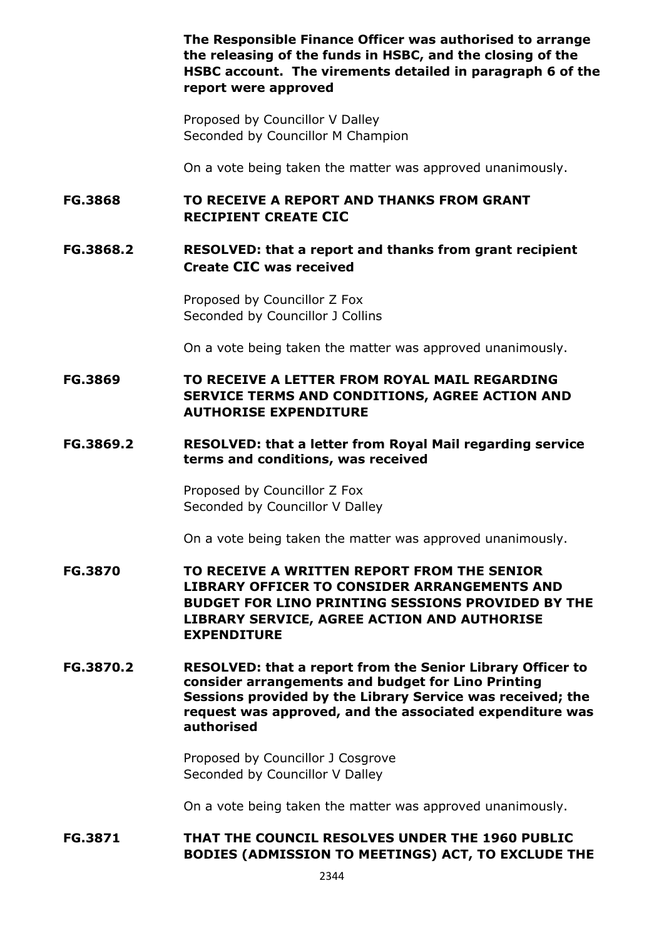**The Responsible Finance Officer was authorised to arrange the releasing of the funds in HSBC, and the closing of the HSBC account. The virements detailed in paragraph 6 of the report were approved**

Proposed by Councillor V Dalley Seconded by Councillor M Champion

On a vote being taken the matter was approved unanimously.

**FG.3868 TO RECEIVE A REPORT AND THANKS FROM GRANT RECIPIENT CREATE CIC**

# **FG.3868.2 RESOLVED: that a report and thanks from grant recipient Create CIC was received**

Proposed by Councillor Z Fox Seconded by Councillor J Collins

On a vote being taken the matter was approved unanimously.

## **FG.3869 TO RECEIVE A LETTER FROM ROYAL MAIL REGARDING SERVICE TERMS AND CONDITIONS, AGREE ACTION AND AUTHORISE EXPENDITURE**

### **FG.3869.2 RESOLVED: that a letter from Royal Mail regarding service terms and conditions, was received**

Proposed by Councillor Z Fox Seconded by Councillor V Dalley

On a vote being taken the matter was approved unanimously.

- **FG.3870 TO RECEIVE A WRITTEN REPORT FROM THE SENIOR LIBRARY OFFICER TO CONSIDER ARRANGEMENTS AND BUDGET FOR LINO PRINTING SESSIONS PROVIDED BY THE LIBRARY SERVICE, AGREE ACTION AND AUTHORISE EXPENDITURE**
- **FG.3870.2 RESOLVED: that a report from the Senior Library Officer to consider arrangements and budget for Lino Printing Sessions provided by the Library Service was received; the request was approved, and the associated expenditure was authorised**

Proposed by Councillor J Cosgrove Seconded by Councillor V Dalley

On a vote being taken the matter was approved unanimously.

# **FG.3871 THAT THE COUNCIL RESOLVES UNDER THE 1960 PUBLIC BODIES (ADMISSION TO MEETINGS) ACT, TO EXCLUDE THE**